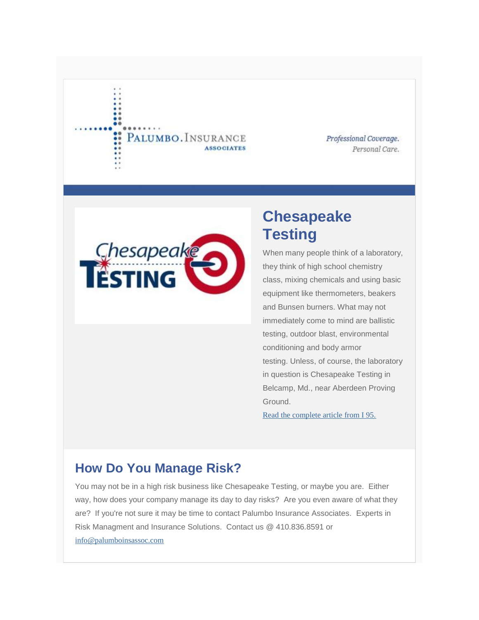#### PALUMBO. INSURANCE **ASSOCIATES**

Professional Coverage. Personal Care.



# **Chesapeake Testing**

When many people think of a laboratory, they think of high school chemistry class, mixing chemicals and using basic equipment like thermometers, beakers and Bunsen burners. What may not immediately come to mind are ballistic testing, outdoor blast, environmental conditioning and body armor testing. Unless, of course, the laboratory in question is Chesapeake Testing in Belcamp, Md., near Aberdeen Proving Ground.

[Read the complete article from I 95.](http://palumboinsassoc.us3.list-manage1.com/track/click?u=1a6471a8f454d6779c53b24fc&id=fc133762a7&e=72479e6596) 

### **How Do You Manage Risk?**

You may not be in a high risk business like Chesapeake Testing, or maybe you are. Either way, how does your company manage its day to day risks? Are you even aware of what they are? If you're not sure it may be time to contact Palumbo Insurance Associates. Experts in Risk Managment and Insurance Solutions. Contact us @ 410.836.8591 or [info@palumboinsassoc.com](http://palumboinsassoc.us3.list-manage.com/track/click?u=1a6471a8f454d6779c53b24fc&id=47b0e238a3&e=72479e6596)